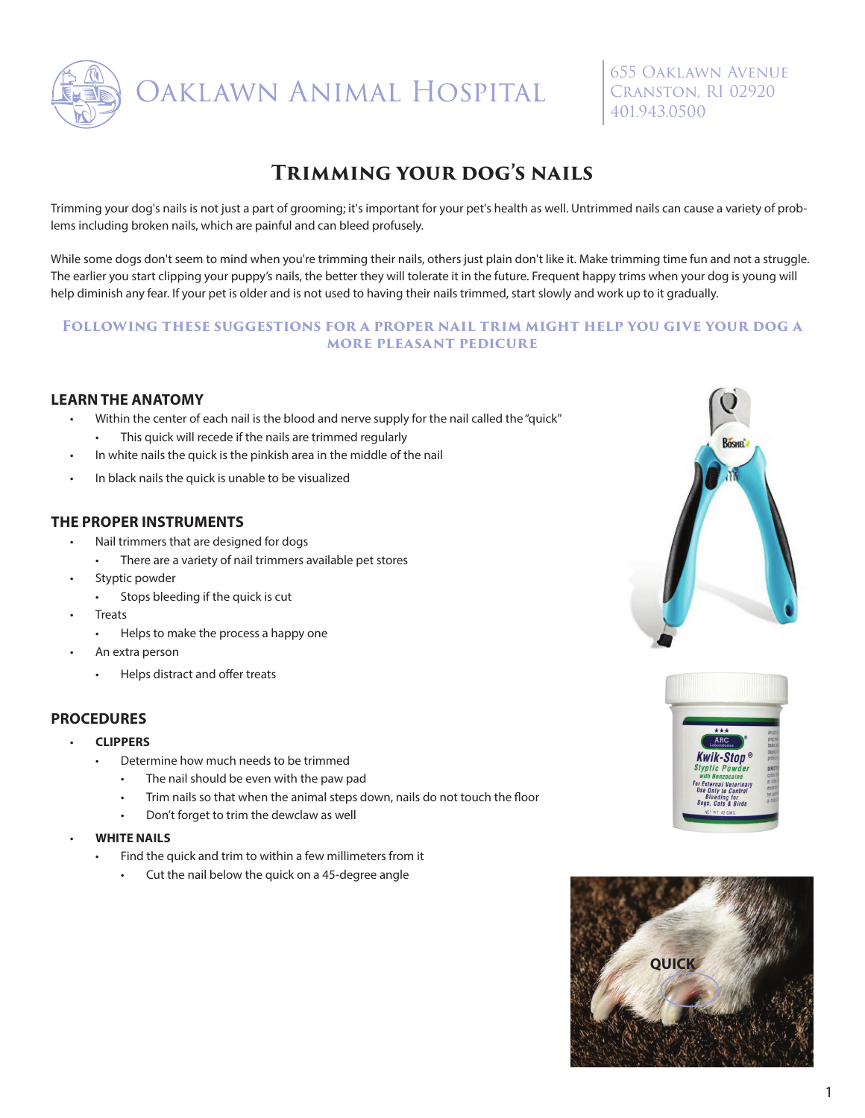

OAKLAWN ANIMAL HOSPITAL

655 Oaklawn Avenue Cranston, RI 02920 401.943.0500

## **Trimming your dog's nails**

Trimming your dog's nails is not just a part of grooming; it's important for your pet's health as well. Untrimmed nails can cause a variety of problems including broken nails, which are painful and can bleed profusely.

While some dogs don't seem to mind when you're trimming their nails, others just plain don't like it. Make trimming time fun and not a struggle. The earlier you start clipping your puppy's nails, the better they will tolerate it in the future. Frequent happy trims when your dog is young will help diminish any fear. If your pet is older and is not used to having their nails trimmed, start slowly and work up to it gradually.

#### **Following these suggestions for a proper nail trim might help you give your dog a more pleasant pedicure**

#### **LEARN THE ANATOMY**

- Within the center of each nail is the blood and nerve supply for the nail called the "quick" • This quick will recede if the nails are trimmed regularly
- In white nails the quick is the pinkish area in the middle of the nail
- In black nails the quick is unable to be visualized

#### **THE PROPER INSTRUMENTS**

- Nail trimmers that are designed for dogs
	- There are a variety of nail trimmers available pet stores
- Styptic powder
	- Stops bleeding if the quick is cut
- **Treats** 
	- Helps to make the process a happy one
- An extra person
	- Helps distract and offer treats

#### **PROCEDURES**

- **CLIPPERS** 
	- Determine how much needs to be trimmed
		- The nail should be even with the paw pad
		- Trim nails so that when the animal steps down, nails do not touch the floor
	- Don't forget to trim the dewclaw as well
- **WHITE NAILS**
	- Find the quick and trim to within a few millimeters from it
		- Cut the nail below the quick on a 45-degree angle